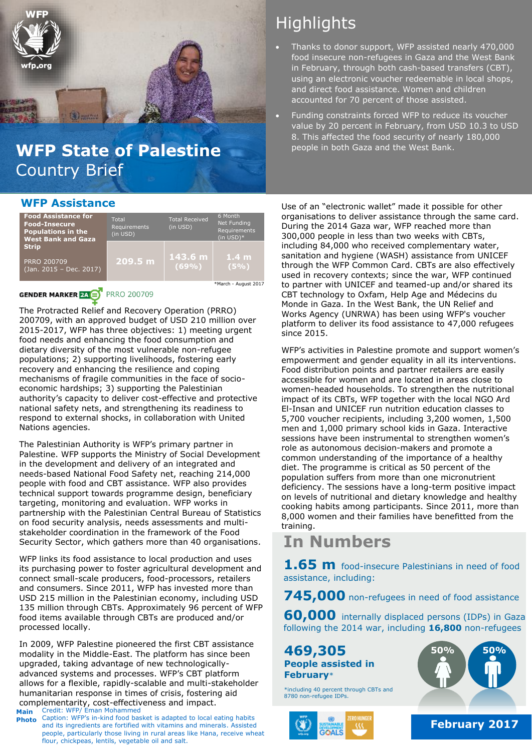

## WFP State of Palestine **beople in both Gaza and the West Bank**. Country Brief

# **Highlights**

- Thanks to donor support, WFP assisted nearly 470,000 food insecure non-refugees in Gaza and the West Bank in February, through both cash-based transfers (CBT), using an electronic voucher redeemable in local shops, and direct food assistance. Women and children accounted for 70 percent of those assisted.
- Funding constraints forced WFP to reduce its voucher value by 20 percent in February, from USD 10.3 to USD 8. This affected the food security of nearly 180,000

## **WFP Assistance**

| <b>Food Assistance for</b><br><b>Food-Insecure</b><br><b>Populations in the</b><br><b>West Bank and Gaza</b> | Total<br>Requirements<br>(in USD) | <b>Total Received</b><br>(in USD) | 6 Month<br><b>Net Funding</b><br>Requirements<br>$(in$ USD $)*$ |
|--------------------------------------------------------------------------------------------------------------|-----------------------------------|-----------------------------------|-----------------------------------------------------------------|
| <b>Strip</b><br>PRRO 200709<br>(Jan. 2015 - Dec. 2017)                                                       | 209.5 m                           | 143.6 m<br>(69%)                  | 1.4 <sub>m</sub><br>(5%)                                        |
|                                                                                                              |                                   |                                   | *March - August 2017                                            |

### **GENDER MARKER 24 BY** PRRO 200709

The Protracted Relief and Recovery Operation (PRRO) 200709, with an approved budget of USD 210 million over 2015-2017, WFP has three objectives: 1) meeting urgent food needs and enhancing the food consumption and dietary diversity of the most vulnerable non-refugee populations; 2) supporting livelihoods, fostering early recovery and enhancing the resilience and coping mechanisms of fragile communities in the face of socioeconomic hardships; 3) supporting the Palestinian authority's capacity to deliver cost-effective and protective national safety nets, and strengthening its readiness to respond to external shocks, in collaboration with United Nations agencies.

The Palestinian Authority is WFP's primary partner in Palestine. WFP supports the Ministry of Social Development in the development and delivery of an integrated and needs-based National Food Safety net, reaching 214,000 people with food and CBT assistance. WFP also provides technical support towards programme design, beneficiary targeting, monitoring and evaluation. WFP works in partnership with the Palestinian Central Bureau of Statistics on food security analysis, needs assessments and multistakeholder coordination in the framework of the Food Security Sector, which gathers more than 40 organisations.

WFP links its food assistance to local production and uses its purchasing power to foster agricultural development and connect small-scale producers, food-processors, retailers and consumers. Since 2011, WFP has invested more than USD 215 million in the Palestinian economy, including USD 135 million through CBTs. Approximately 96 percent of WFP food items available through CBTs are produced and/or processed locally.

Credit: WFP/ Eman Mohammed In 2009, WFP Palestine pioneered the first CBT assistance modality in the Middle-East. The platform has since been upgraded, taking advantage of new technologicallyadvanced systems and processes. WFP's CBT platform allows for a flexible, rapidly-scalable and multi-stakeholder humanitarian response in times of crisis, fostering aid complementarity, cost-effectiveness and impact.

**Main Photo** Caption: WFP's in-kind food basket is adapted to local eating habits and its ingredients are fortified with vitamins and minerals. Assisted people, particularly those living in rural areas like Hana, receive wheat flour, chickpeas, lentils, vegetable oil and salt.

Use of an "electronic wallet" made it possible for other organisations to deliver assistance through the same card. During the 2014 Gaza war, WFP reached more than 300,000 people in less than two weeks with CBTs, including 84,000 who received complementary water, sanitation and hygiene (WASH) assistance from UNICEF through the WFP Common Card. CBTs are also effectively used in recovery contexts; since the war, WFP continued to partner with UNICEF and teamed-up and/or shared its CBT technology to Oxfam, Help Age and Médecins du Monde in Gaza. In the West Bank, the UN Relief and Works Agency (UNRWA) has been using WFP's voucher platform to deliver its food assistance to 47,000 refugees since 2015.

WFP's activities in Palestine promote and support women's empowerment and gender equality in all its interventions. Food distribution points and partner retailers are easily accessible for women and are located in areas close to women-headed households. To strengthen the nutritional impact of its CBTs, WFP together with the local NGO Ard El-Insan and UNICEF run nutrition education classes to 5,700 voucher recipients, including 3,200 women, 1,500 men and 1,000 primary school kids in Gaza. Interactive sessions have been instrumental to strengthen women's role as autonomous decision-makers and promote a common understanding of the importance of a healthy diet. The programme is critical as 50 percent of the population suffers from more than one micronutrient deficiency. The sessions have a long-term positive impact on levels of nutritional and dietary knowledge and healthy cooking habits among participants. Since 2011, more than 8,000 women and their families have benefitted from the training.

## **In Numbers**

**1.65 m** food-insecure Palestinians in need of food assistance, including:

**745,000** non-refugees in need of food assistance

**60,000** internally displaced persons (IDPs) in Gaza following the 2014 war, including **16,800** non-refugees

**469,305 People assisted in February**\*

\*including 40 percent through CBTs and 8780 non-refugee IDPs.





**February 2017**